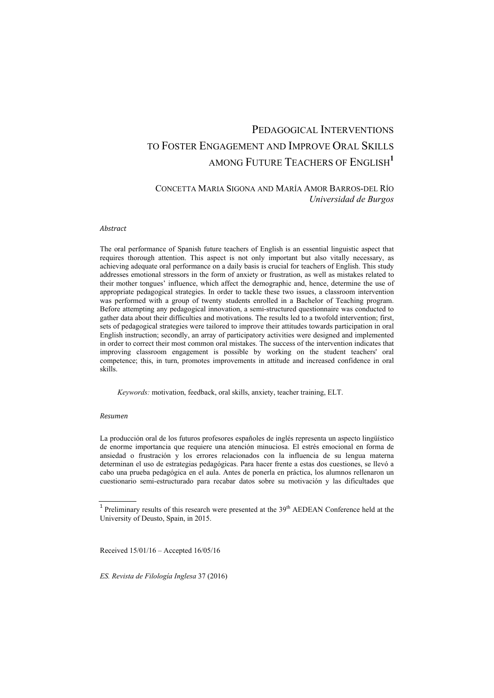# PEDAGOGICAL INTERVENTIONS TO FOSTER ENGAGEMENT AND IMPROVE ORAL SKILLS AMONG FUTURE TEACHERS OF ENGLISH**<sup>1</sup>**

### CONCETTA MARIA SIGONA AND MARÍA AMOR BARROS-DEL RÍO *Universidad de Burgos*

#### *Abstract*

The oral performance of Spanish future teachers of English is an essential linguistic aspect that requires thorough attention. This aspect is not only important but also vitally necessary, as achieving adequate oral performance on a daily basis is crucial for teachers of English. This study addresses emotional stressors in the form of anxiety or frustration, as well as mistakes related to their mother tongues' influence, which affect the demographic and, hence, determine the use of appropriate pedagogical strategies. In order to tackle these two issues, a classroom intervention was performed with a group of twenty students enrolled in a Bachelor of Teaching program. Before attempting any pedagogical innovation, a semi-structured questionnaire was conducted to gather data about their difficulties and motivations. The results led to a twofold intervention; first, sets of pedagogical strategies were tailored to improve their attitudes towards participation in oral English instruction; secondly, an array of participatory activities were designed and implemented in order to correct their most common oral mistakes. The success of the intervention indicates that improving classroom engagement is possible by working on the student teachers' oral competence; this, in turn, promotes improvements in attitude and increased confidence in oral skills.

*Keywords:* motivation, feedback, oral skills, anxiety, teacher training, ELT.

#### *Resumen*

La producción oral de los futuros profesores españoles de inglés representa un aspecto lingüístico de enorme importancia que requiere una atención minuciosa. El estrés emocional en forma de ansiedad o frustración y los errores relacionados con la influencia de su lengua materna determinan el uso de estrategias pedagógicas. Para hacer frente a estas dos cuestiones, se llevó a cabo una prueba pedagógica en el aula. Antes de ponerla en práctica, los alumnos rellenaron un cuestionario semi-estructurado para recabar datos sobre su motivación y las dificultades que

Received 15/01/16 – Accepted 16/05/16

<sup>&</sup>lt;sup>1</sup> Preliminary results of this research were presented at the  $39<sup>th</sup>$  AEDEAN Conference held at the University of Deusto, Spain, in 2015.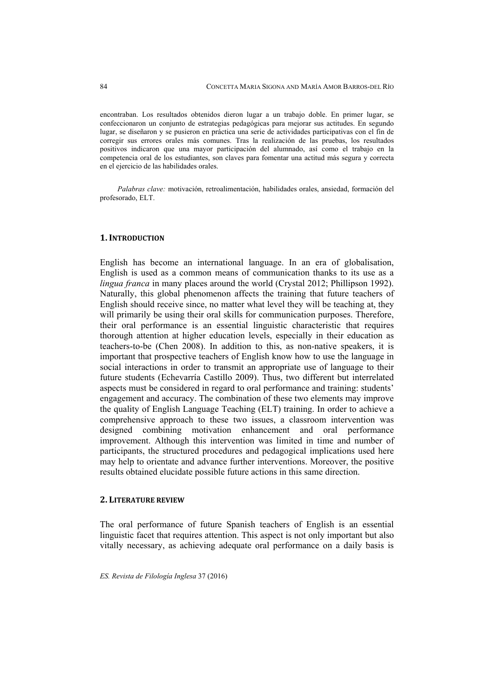encontraban. Los resultados obtenidos dieron lugar a un trabajo doble. En primer lugar, se confeccionaron un conjunto de estrategias pedagógicas para mejorar sus actitudes. En segundo lugar, se diseñaron y se pusieron en práctica una serie de actividades participativas con el fin de corregir sus errores orales más comunes. Tras la realización de las pruebas, los resultados positivos indicaron que una mayor participación del alumnado, así como el trabajo en la competencia oral de los estudiantes, son claves para fomentar una actitud más segura y correcta en el ejercicio de las habilidades orales.

*Palabras clave:* motivación, retroalimentación, habilidades orales, ansiedad, formación del profesorado, ELT.

#### **1. INTRODUCTION**

English has become an international language. In an era of globalisation, English is used as a common means of communication thanks to its use as a *lingua franca* in many places around the world (Crystal 2012; Phillipson 1992). Naturally, this global phenomenon affects the training that future teachers of English should receive since, no matter what level they will be teaching at, they will primarily be using their oral skills for communication purposes. Therefore, their oral performance is an essential linguistic characteristic that requires thorough attention at higher education levels, especially in their education as teachers-to-be (Chen 2008). In addition to this, as non-native speakers, it is important that prospective teachers of English know how to use the language in social interactions in order to transmit an appropriate use of language to their future students (Echevarría Castillo 2009). Thus, two different but interrelated aspects must be considered in regard to oral performance and training: students' engagement and accuracy. The combination of these two elements may improve the quality of English Language Teaching (ELT) training. In order to achieve a comprehensive approach to these two issues, a classroom intervention was designed combining motivation enhancement and oral performance improvement. Although this intervention was limited in time and number of participants, the structured procedures and pedagogical implications used here may help to orientate and advance further interventions. Moreover, the positive results obtained elucidate possible future actions in this same direction.

#### **2. LITERATURE REVIEW**

The oral performance of future Spanish teachers of English is an essential linguistic facet that requires attention. This aspect is not only important but also vitally necessary, as achieving adequate oral performance on a daily basis is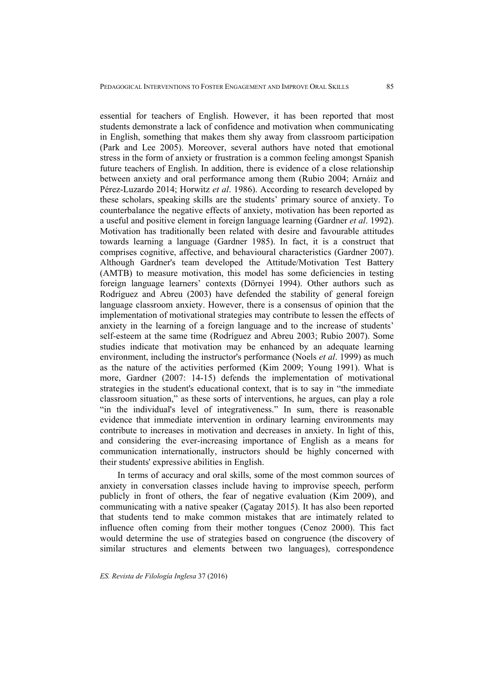essential for teachers of English. However, it has been reported that most students demonstrate a lack of confidence and motivation when communicating in English, something that makes them shy away from classroom participation (Park and Lee 2005). Moreover, several authors have noted that emotional stress in the form of anxiety or frustration is a common feeling amongst Spanish future teachers of English. In addition, there is evidence of a close relationship between anxiety and oral performance among them (Rubio 2004; Arnáiz and Pérez-Luzardo 2014; Horwitz *et al*. 1986). According to research developed by these scholars, speaking skills are the students' primary source of anxiety. To counterbalance the negative effects of anxiety, motivation has been reported as a useful and positive element in foreign language learning (Gardner *et al*. 1992). Motivation has traditionally been related with desire and favourable attitudes towards learning a language (Gardner 1985). In fact, it is a construct that comprises cognitive, affective, and behavioural characteristics (Gardner 2007). Although Gardner's team developed the Attitude/Motivation Test Battery (AMTB) to measure motivation, this model has some deficiencies in testing foreign language learners' contexts (Dörnyei 1994). Other authors such as Rodríguez and Abreu (2003) have defended the stability of general foreign language classroom anxiety. However, there is a consensus of opinion that the implementation of motivational strategies may contribute to lessen the effects of anxiety in the learning of a foreign language and to the increase of students' self-esteem at the same time (Rodríguez and Abreu 2003; Rubio 2007). Some studies indicate that motivation may be enhanced by an adequate learning environment, including the instructor's performance (Noels *et al*. 1999) as much as the nature of the activities performed (Kim 2009; Young 1991). What is more, Gardner (2007: 14-15) defends the implementation of motivational strategies in the student's educational context, that is to say in "the immediate classroom situation," as these sorts of interventions, he argues, can play a role "in the individual's level of integrativeness." In sum, there is reasonable evidence that immediate intervention in ordinary learning environments may contribute to increases in motivation and decreases in anxiety. In light of this, and considering the ever-increasing importance of English as a means for communication internationally, instructors should be highly concerned with their students' expressive abilities in English.

In terms of accuracy and oral skills, some of the most common sources of anxiety in conversation classes include having to improvise speech, perform publicly in front of others, the fear of negative evaluation (Kim 2009), and communicating with a native speaker (Çagatay 2015). It has also been reported that students tend to make common mistakes that are intimately related to influence often coming from their mother tongues (Cenoz 2000). This fact would determine the use of strategies based on congruence (the discovery of similar structures and elements between two languages), correspondence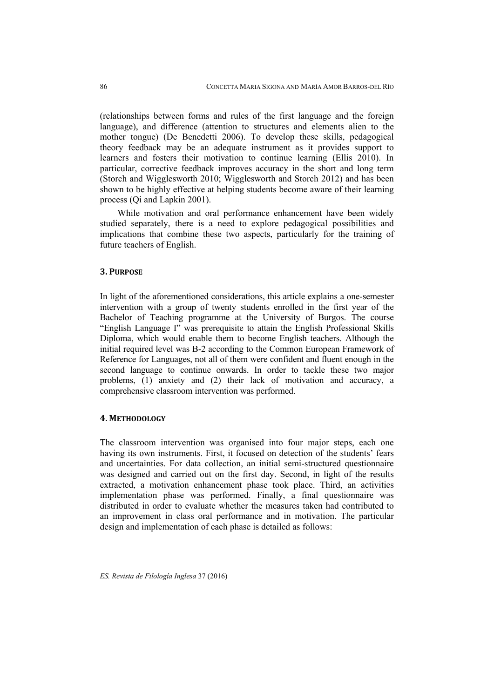(relationships between forms and rules of the first language and the foreign language), and difference (attention to structures and elements alien to the mother tongue) (De Benedetti 2006). To develop these skills, pedagogical theory feedback may be an adequate instrument as it provides support to learners and fosters their motivation to continue learning (Ellis 2010). In particular, corrective feedback improves accuracy in the short and long term (Storch and Wigglesworth 2010; Wigglesworth and Storch 2012) and has been shown to be highly effective at helping students become aware of their learning process (Qi and Lapkin 2001).

While motivation and oral performance enhancement have been widely studied separately, there is a need to explore pedagogical possibilities and implications that combine these two aspects, particularly for the training of future teachers of English.

### **3. PURPOSE**

In light of the aforementioned considerations, this article explains a one-semester intervention with a group of twenty students enrolled in the first year of the Bachelor of Teaching programme at the University of Burgos. The course "English Language I" was prerequisite to attain the English Professional Skills Diploma, which would enable them to become English teachers. Although the initial required level was B-2 according to the Common European Framework of Reference for Languages, not all of them were confident and fluent enough in the second language to continue onwards. In order to tackle these two major problems, (1) anxiety and (2) their lack of motivation and accuracy, a comprehensive classroom intervention was performed.

#### **4. METHODOLOGY**

The classroom intervention was organised into four major steps, each one having its own instruments. First, it focused on detection of the students' fears and uncertainties. For data collection, an initial semi-structured questionnaire was designed and carried out on the first day. Second, in light of the results extracted, a motivation enhancement phase took place. Third, an activities implementation phase was performed. Finally, a final questionnaire was distributed in order to evaluate whether the measures taken had contributed to an improvement in class oral performance and in motivation. The particular design and implementation of each phase is detailed as follows: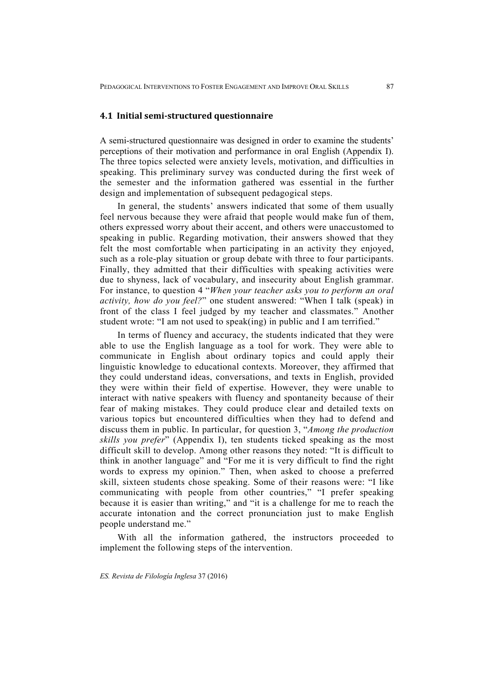#### **4.1 Initial semi‐structured questionnaire**

A semi-structured questionnaire was designed in order to examine the students' perceptions of their motivation and performance in oral English (Appendix I). The three topics selected were anxiety levels, motivation, and difficulties in speaking. This preliminary survey was conducted during the first week of the semester and the information gathered was essential in the further design and implementation of subsequent pedagogical steps.

In general, the students' answers indicated that some of them usually feel nervous because they were afraid that people would make fun of them, others expressed worry about their accent, and others were unaccustomed to speaking in public. Regarding motivation, their answers showed that they felt the most comfortable when participating in an activity they enjoyed, such as a role-play situation or group debate with three to four participants. Finally, they admitted that their difficulties with speaking activities were due to shyness, lack of vocabulary, and insecurity about English grammar. For instance, to question 4 "*When your teacher asks you to perform an oral activity, how do you feel?*" one student answered: "When I talk (speak) in front of the class I feel judged by my teacher and classmates." Another student wrote: "I am not used to speak(ing) in public and I am terrified."

In terms of fluency and accuracy, the students indicated that they were able to use the English language as a tool for work. They were able to communicate in English about ordinary topics and could apply their linguistic knowledge to educational contexts. Moreover, they affirmed that they could understand ideas, conversations, and texts in English, provided they were within their field of expertise. However, they were unable to interact with native speakers with fluency and spontaneity because of their fear of making mistakes. They could produce clear and detailed texts on various topics but encountered difficulties when they had to defend and discuss them in public. In particular, for question 3, "*Among the production skills you prefer*" (Appendix I), ten students ticked speaking as the most difficult skill to develop. Among other reasons they noted: "It is difficult to think in another language" and "For me it is very difficult to find the right words to express my opinion." Then, when asked to choose a preferred skill, sixteen students chose speaking. Some of their reasons were: "I like communicating with people from other countries," "I prefer speaking because it is easier than writing," and "it is a challenge for me to reach the accurate intonation and the correct pronunciation just to make English people understand me."

With all the information gathered, the instructors proceeded to implement the following steps of the intervention.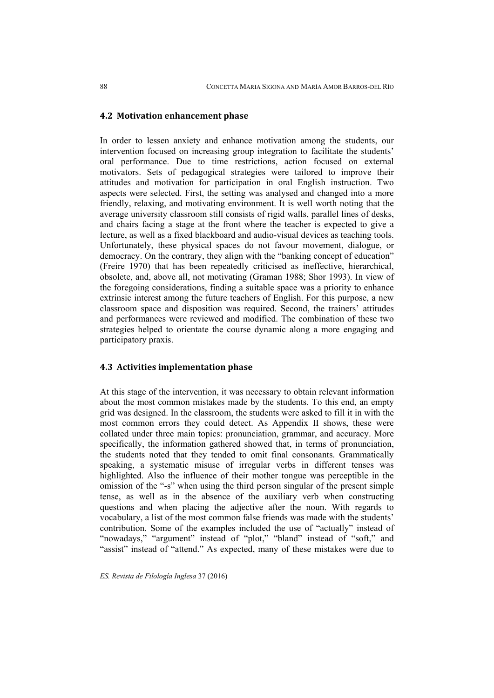### **4.2 Motivation enhancement phase**

In order to lessen anxiety and enhance motivation among the students, our intervention focused on increasing group integration to facilitate the students' oral performance. Due to time restrictions, action focused on external motivators. Sets of pedagogical strategies were tailored to improve their attitudes and motivation for participation in oral English instruction. Two aspects were selected. First, the setting was analysed and changed into a more friendly, relaxing, and motivating environment. It is well worth noting that the average university classroom still consists of rigid walls, parallel lines of desks, and chairs facing a stage at the front where the teacher is expected to give a lecture, as well as a fixed blackboard and audio-visual devices as teaching tools. Unfortunately, these physical spaces do not favour movement, dialogue, or democracy. On the contrary, they align with the "banking concept of education" (Freire 1970) that has been repeatedly criticised as ineffective, hierarchical, obsolete, and, above all, not motivating (Graman 1988; Shor 1993). In view of the foregoing considerations, finding a suitable space was a priority to enhance extrinsic interest among the future teachers of English. For this purpose, a new classroom space and disposition was required. Second, the trainers' attitudes and performances were reviewed and modified. The combination of these two strategies helped to orientate the course dynamic along a more engaging and participatory praxis.

### **4.3 Activities implementation phase**

At this stage of the intervention, it was necessary to obtain relevant information about the most common mistakes made by the students. To this end, an empty grid was designed. In the classroom, the students were asked to fill it in with the most common errors they could detect. As Appendix II shows, these were collated under three main topics: pronunciation, grammar, and accuracy. More specifically, the information gathered showed that, in terms of pronunciation, the students noted that they tended to omit final consonants. Grammatically speaking, a systematic misuse of irregular verbs in different tenses was highlighted. Also the influence of their mother tongue was perceptible in the omission of the "-s" when using the third person singular of the present simple tense, as well as in the absence of the auxiliary verb when constructing questions and when placing the adjective after the noun. With regards to vocabulary, a list of the most common false friends was made with the students' contribution. Some of the examples included the use of "actually" instead of "nowadays," "argument" instead of "plot," "bland" instead of "soft," and "assist" instead of "attend." As expected, many of these mistakes were due to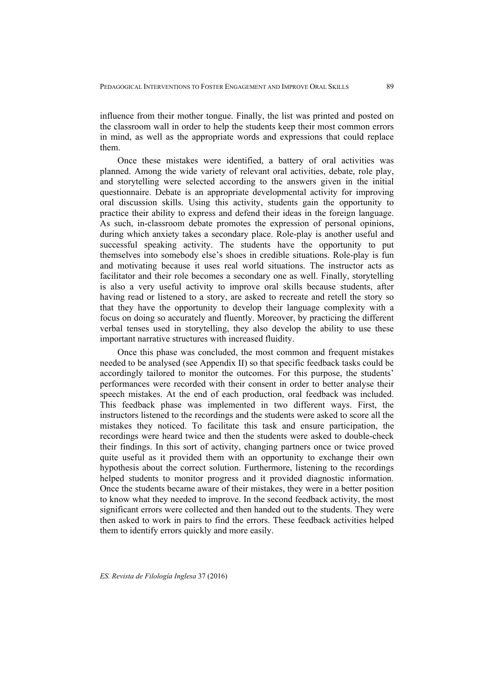influence from their mother tongue. Finally, the list was printed and posted on the classroom wall in order to help the students keep their most common errors in mind, as well as the appropriate words and expressions that could replace them.

Once these mistakes were identified, a battery of oral activities was planned. Among the wide variety of relevant oral activities, debate, role play, and storytelling were selected according to the answers given in the initial questionnaire. Debate is an appropriate developmental activity for improving oral discussion skills. Using this activity, students gain the opportunity to practice their ability to express and defend their ideas in the foreign language. As such, in-classroom debate promotes the expression of personal opinions, during which anxiety takes a secondary place. Role-play is another useful and successful speaking activity. The students have the opportunity to put themselves into somebody else's shoes in credible situations. Role-play is fun and motivating because it uses real world situations. The instructor acts as facilitator and their role becomes a secondary one as well. Finally, storytelling is also a very useful activity to improve oral skills because students, after having read or listened to a story, are asked to recreate and retell the story so that they have the opportunity to develop their language complexity with a focus on doing so accurately and fluently. Moreover, by practicing the different verbal tenses used in storytelling, they also develop the ability to use these important narrative structures with increased fluidity.

Once this phase was concluded, the most common and frequent mistakes needed to be analysed (see Appendix II) so that specific feedback tasks could be accordingly tailored to monitor the outcomes. For this purpose, the students' performances were recorded with their consent in order to better analyse their speech mistakes. At the end of each production, oral feedback was included. This feedback phase was implemented in two different ways. First, the instructors listened to the recordings and the students were asked to score all the mistakes they noticed. To facilitate this task and ensure participation, the recordings were heard twice and then the students were asked to double-check their findings. In this sort of activity, changing partners once or twice proved quite useful as it provided them with an opportunity to exchange their own hypothesis about the correct solution. Furthermore, listening to the recordings helped students to monitor progress and it provided diagnostic information. Once the students became aware of their mistakes, they were in a better position to know what they needed to improve. In the second feedback activity, the most significant errors were collected and then handed out to the students. They were then asked to work in pairs to find the errors. These feedback activities helped them to identify errors quickly and more easily.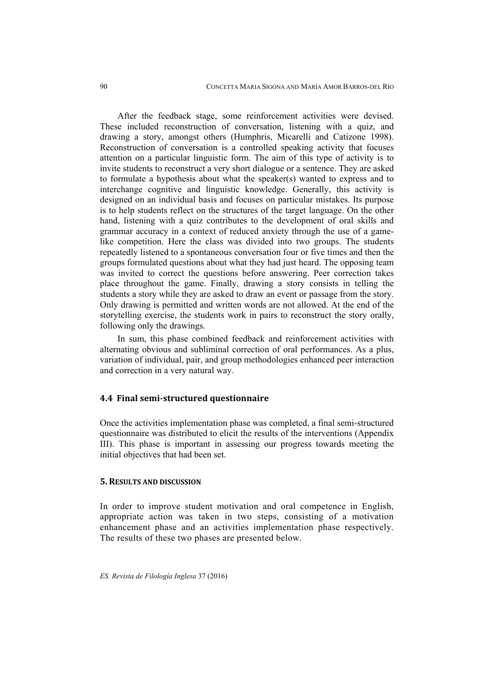After the feedback stage, some reinforcement activities were devised. These included reconstruction of conversation, listening with a quiz, and drawing a story, amongst others (Humphris, Micarelli and Catizone 1998). Reconstruction of conversation is a controlled speaking activity that focuses attention on a particular linguistic form. The aim of this type of activity is to invite students to reconstruct a very short dialogue or a sentence. They are asked to formulate a hypothesis about what the speaker(s) wanted to express and to interchange cognitive and linguistic knowledge. Generally, this activity is designed on an individual basis and focuses on particular mistakes. Its purpose is to help students reflect on the structures of the target language. On the other hand, listening with a quiz contributes to the development of oral skills and grammar accuracy in a context of reduced anxiety through the use of a gamelike competition. Here the class was divided into two groups. The students repeatedly listened to a spontaneous conversation four or five times and then the groups formulated questions about what they had just heard. The opposing team was invited to correct the questions before answering. Peer correction takes place throughout the game. Finally, drawing a story consists in telling the students a story while they are asked to draw an event or passage from the story. Only drawing is permitted and written words are not allowed. At the end of the storytelling exercise, the students work in pairs to reconstruct the story orally, following only the drawings.

In sum, this phase combined feedback and reinforcement activities with alternating obvious and subliminal correction of oral performances. As a plus, variation of individual, pair, and group methodologies enhanced peer interaction and correction in a very natural way.

### **4.4 Final semi‐structured questionnaire**

Once the activities implementation phase was completed, a final semi-structured questionnaire was distributed to elicit the results of the interventions (Appendix III). This phase is important in assessing our progress towards meeting the initial objectives that had been set.

### **5. RESULTS AND DISCUSSION**

In order to improve student motivation and oral competence in English, appropriate action was taken in two steps, consisting of a motivation enhancement phase and an activities implementation phase respectively. The results of these two phases are presented below.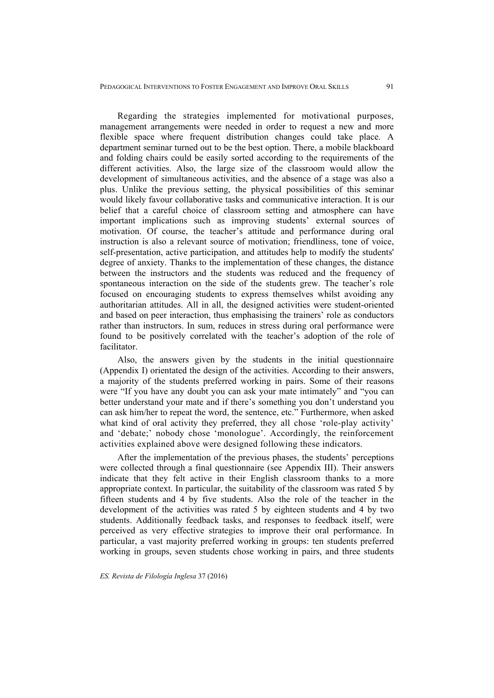Regarding the strategies implemented for motivational purposes, management arrangements were needed in order to request a new and more flexible space where frequent distribution changes could take place. A department seminar turned out to be the best option. There, a mobile blackboard and folding chairs could be easily sorted according to the requirements of the different activities. Also, the large size of the classroom would allow the development of simultaneous activities, and the absence of a stage was also a plus. Unlike the previous setting, the physical possibilities of this seminar would likely favour collaborative tasks and communicative interaction. It is our belief that a careful choice of classroom setting and atmosphere can have important implications such as improving students' external sources of motivation. Of course, the teacher's attitude and performance during oral instruction is also a relevant source of motivation; friendliness, tone of voice, self-presentation, active participation, and attitudes help to modify the students' degree of anxiety. Thanks to the implementation of these changes, the distance between the instructors and the students was reduced and the frequency of spontaneous interaction on the side of the students grew. The teacher's role focused on encouraging students to express themselves whilst avoiding any authoritarian attitudes. All in all, the designed activities were student-oriented and based on peer interaction, thus emphasising the trainers' role as conductors rather than instructors. In sum, reduces in stress during oral performance were found to be positively correlated with the teacher's adoption of the role of facilitator.

Also, the answers given by the students in the initial questionnaire (Appendix I) orientated the design of the activities. According to their answers, a majority of the students preferred working in pairs. Some of their reasons were "If you have any doubt you can ask your mate intimately" and "you can better understand your mate and if there's something you don't understand you can ask him/her to repeat the word, the sentence, etc." Furthermore, when asked what kind of oral activity they preferred, they all chose 'role-play activity' and 'debate;' nobody chose 'monologue'. Accordingly, the reinforcement activities explained above were designed following these indicators.

After the implementation of the previous phases, the students' perceptions were collected through a final questionnaire (see Appendix III). Their answers indicate that they felt active in their English classroom thanks to a more appropriate context. In particular, the suitability of the classroom was rated 5 by fifteen students and 4 by five students. Also the role of the teacher in the development of the activities was rated 5 by eighteen students and 4 by two students. Additionally feedback tasks, and responses to feedback itself, were perceived as very effective strategies to improve their oral performance. In particular, a vast majority preferred working in groups: ten students preferred working in groups, seven students chose working in pairs, and three students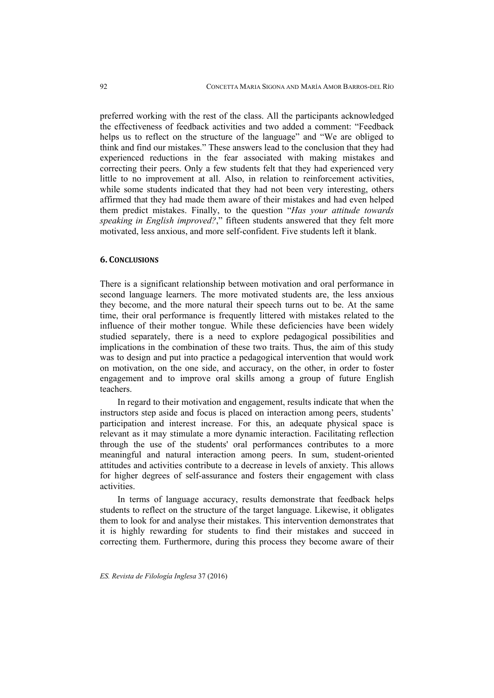preferred working with the rest of the class. All the participants acknowledged the effectiveness of feedback activities and two added a comment: "Feedback helps us to reflect on the structure of the language" and "We are obliged to think and find our mistakes." These answers lead to the conclusion that they had experienced reductions in the fear associated with making mistakes and correcting their peers. Only a few students felt that they had experienced very little to no improvement at all. Also, in relation to reinforcement activities, while some students indicated that they had not been very interesting, others affirmed that they had made them aware of their mistakes and had even helped them predict mistakes. Finally, to the question "*Has your attitude towards speaking in English improved?*," fifteen students answered that they felt more motivated, less anxious, and more self-confident. Five students left it blank.

### **6. CONCLUSIONS**

There is a significant relationship between motivation and oral performance in second language learners. The more motivated students are, the less anxious they become, and the more natural their speech turns out to be. At the same time, their oral performance is frequently littered with mistakes related to the influence of their mother tongue. While these deficiencies have been widely studied separately, there is a need to explore pedagogical possibilities and implications in the combination of these two traits. Thus, the aim of this study was to design and put into practice a pedagogical intervention that would work on motivation, on the one side, and accuracy, on the other, in order to foster engagement and to improve oral skills among a group of future English teachers.

In regard to their motivation and engagement, results indicate that when the instructors step aside and focus is placed on interaction among peers, students' participation and interest increase. For this, an adequate physical space is relevant as it may stimulate a more dynamic interaction. Facilitating reflection through the use of the students' oral performances contributes to a more meaningful and natural interaction among peers. In sum, student-oriented attitudes and activities contribute to a decrease in levels of anxiety. This allows for higher degrees of self-assurance and fosters their engagement with class activities.

In terms of language accuracy, results demonstrate that feedback helps students to reflect on the structure of the target language. Likewise, it obligates them to look for and analyse their mistakes. This intervention demonstrates that it is highly rewarding for students to find their mistakes and succeed in correcting them. Furthermore, during this process they become aware of their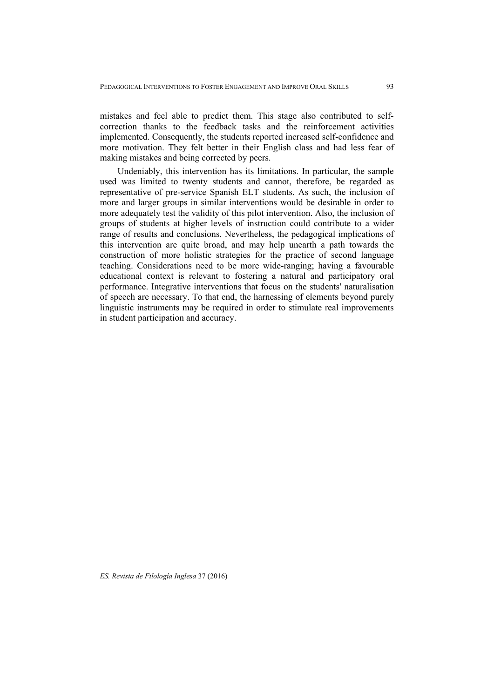mistakes and feel able to predict them. This stage also contributed to selfcorrection thanks to the feedback tasks and the reinforcement activities implemented. Consequently, the students reported increased self-confidence and more motivation. They felt better in their English class and had less fear of making mistakes and being corrected by peers.

Undeniably, this intervention has its limitations. In particular, the sample used was limited to twenty students and cannot, therefore, be regarded as representative of pre-service Spanish ELT students. As such, the inclusion of more and larger groups in similar interventions would be desirable in order to more adequately test the validity of this pilot intervention. Also, the inclusion of groups of students at higher levels of instruction could contribute to a wider range of results and conclusions. Nevertheless, the pedagogical implications of this intervention are quite broad, and may help unearth a path towards the construction of more holistic strategies for the practice of second language teaching. Considerations need to be more wide-ranging; having a favourable educational context is relevant to fostering a natural and participatory oral performance. Integrative interventions that focus on the students' naturalisation of speech are necessary. To that end, the harnessing of elements beyond purely linguistic instruments may be required in order to stimulate real improvements in student participation and accuracy.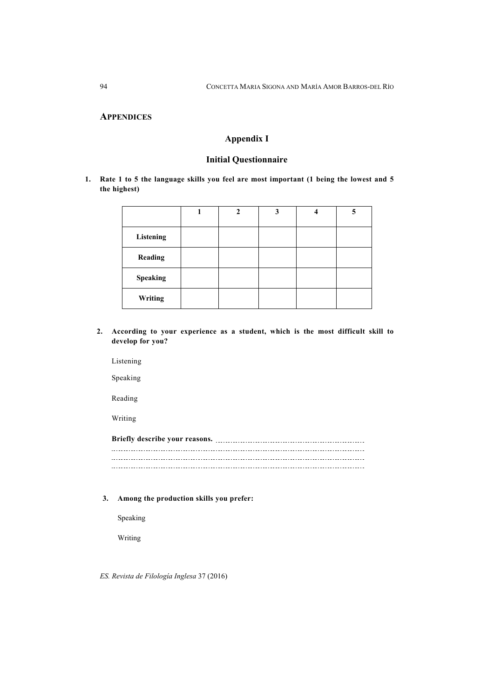### **APPENDICES**

### **Appendix I**

#### **Initial Questionnaire**

**1. Rate 1 to 5 the language skills you feel are most important (1 being the lowest and 5 the highest)**

|                | $\mathbf{2}$ | 3 | 4 | 5 |
|----------------|--------------|---|---|---|
| Listening      |              |   |   |   |
| <b>Reading</b> |              |   |   |   |
| Speaking       |              |   |   |   |
| Writing        |              |   |   |   |

**2. According to your experience as a student, which is the most difficult skill to develop for you?** 

Listening

Speaking

Reading

Writing

**Briefly describe your reasons.**  

#### **3. Among the production skills you prefer:**

Speaking

Writing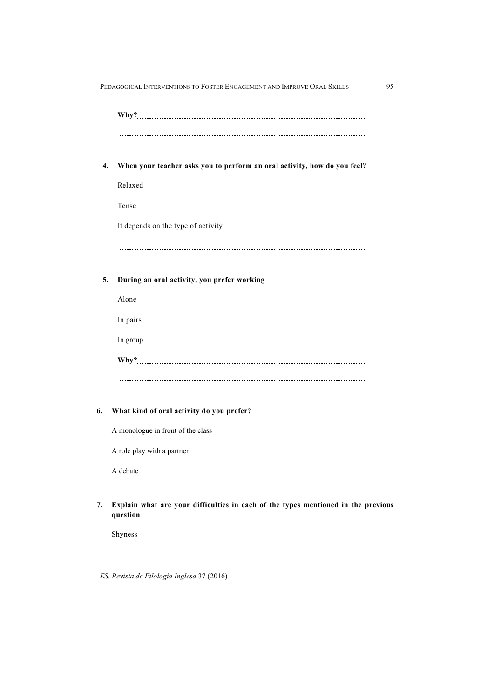| Why? |  |  |
|------|--|--|
|      |  |  |
|      |  |  |
|      |  |  |

**4. When your teacher asks you to perform an oral activity, how do you feel?** 

Relaxed

Tense

It depends on the type of activity

 $\overline{a}$ 

#### **5. During an oral activity, you prefer working**

Alone

In pairs

In group

| Why? |  |  |
|------|--|--|
|      |  |  |
|      |  |  |
|      |  |  |

#### **6. What kind of oral activity do you prefer?**

A monologue in front of the class

A role play with a partner

A debate

#### **7. Explain what are your difficulties in each of the types mentioned in the previous question**

Shyness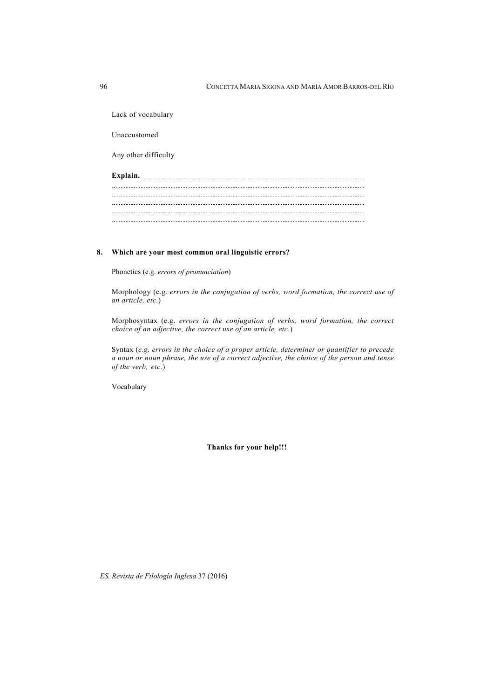Lack of vocabulary Unaccustomed Any other difficulty **Explain.**  

#### **8. Which are your most common oral linguistic errors?**

Phonetics (e.g. *errors of pronunciation*)

Morphology (e.g. *errors in the conjugation of verbs, word formation, the correct use of an article, etc*.)

Morphosyntax (e.g. *errors in the conjugation of verbs, word formation, the correct choice of an adjective, the correct use of an article, etc*.)

Syntax (*e.g. errors in the choice of a proper article, determiner or quantifier to precede a noun or noun phrase, the use of a correct adjective, the choice of the person and tense of the verb, etc*.)

Vocabulary

**Thanks for your help!!!**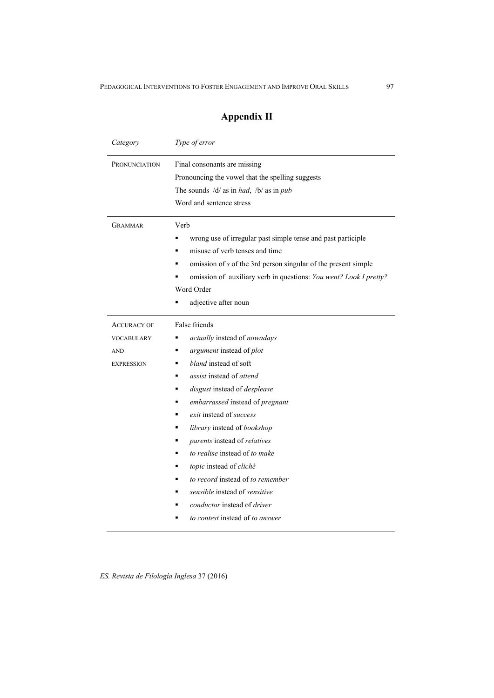## **Appendix II**

| Category                                                                   | Type of error                                                                                                                                                                                                                                                                                                                                                                                                                                                                                                                                      |  |  |  |
|----------------------------------------------------------------------------|----------------------------------------------------------------------------------------------------------------------------------------------------------------------------------------------------------------------------------------------------------------------------------------------------------------------------------------------------------------------------------------------------------------------------------------------------------------------------------------------------------------------------------------------------|--|--|--|
| <b>PRONUNCIATION</b>                                                       | Final consonants are missing<br>Pronouncing the vowel that the spelling suggests<br>The sounds $/d/$ as in had, $/b/$ as in pub<br>Word and sentence stress                                                                                                                                                                                                                                                                                                                                                                                        |  |  |  |
| <b>GRAMMAR</b>                                                             | Verb<br>wrong use of irregular past simple tense and past participle<br>misuse of verb tenses and time<br>omission of s of the 3rd person singular of the present simple<br>omission of auxiliary verb in questions: You went? Look I pretty?<br>Word Order<br>adjective after noun                                                                                                                                                                                                                                                                |  |  |  |
| <b>ACCURACY OF</b><br><b>VOCABULARY</b><br><b>AND</b><br><b>EXPRESSION</b> | False friends<br>actually instead of nowadays<br>argument instead of plot<br>٠<br>bland instead of soft<br><i>assist</i> instead of <i>attend</i><br>disgust instead of desplease<br>embarrassed instead of pregnant<br>exit instead of success<br>library instead of bookshop<br>parents instead of relatives<br>٠<br>to realise instead of to make<br>topic instead of cliché<br>to record instead of to remember<br><i>sensible</i> instead of <i>sensitive</i><br><i>conductor</i> instead of <i>driver</i><br>to contest instead of to answer |  |  |  |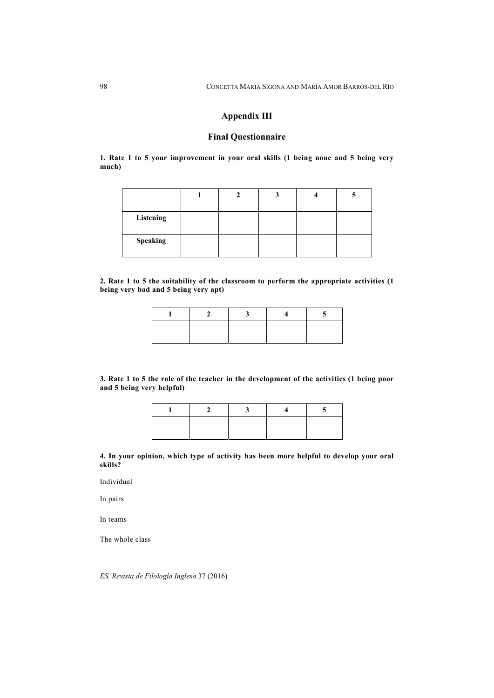### **Appendix III**

### **Final Questionnaire**

**1. Rate 1 to 5 your improvement in your oral skills (1 being none and 5 being very much)** 

| Listening |  |  |  |
|-----------|--|--|--|
| Speaking  |  |  |  |

**2. Rate 1 to 5 the suitability of the classroom to perform the appropriate activities (1 being very bad and 5 being very apt)** 

**3***.* **Rate 1 to 5 the role of the teacher in the development of the activities (1 being poor and 5 being very helpful)** 

#### **4. In your opinion, which type of activity has been more helpful to develop your oral skills?**

Individual

In pairs

In teams

The whole class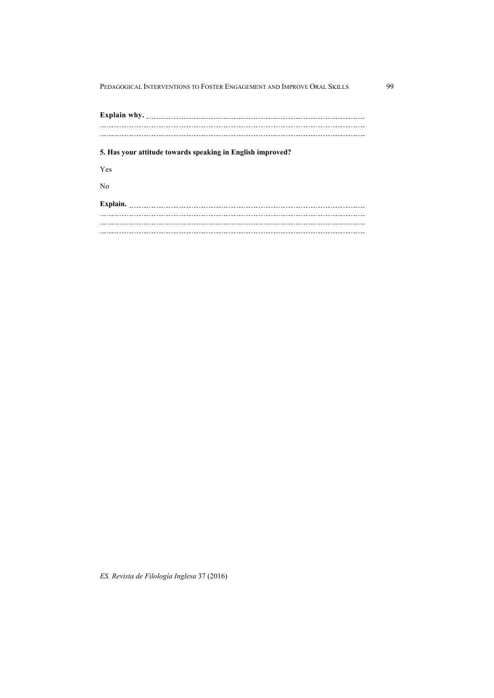**Explain why.**   $\overline{a}$ **5. Has your attitude towards speaking in English improved?** Yes No **Explain.**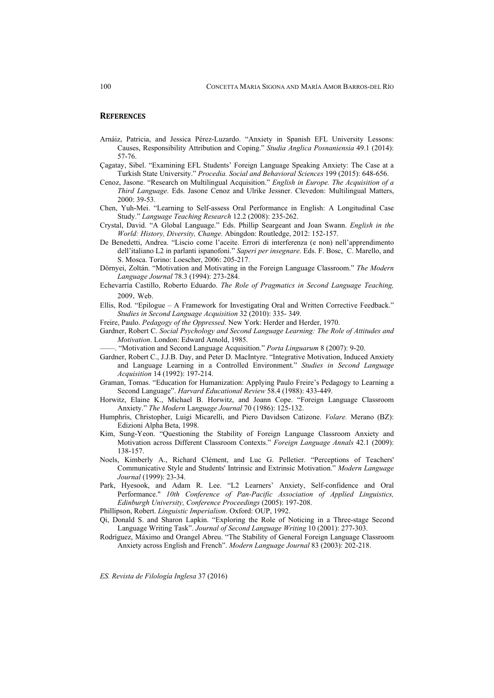#### **REFERENCES**

- Arnáiz, Patricia, and Jessica Pérez-Luzardo. "Anxiety in Spanish EFL University Lessons: Causes, Responsibility Attribution and Coping." *Studia Anglica Posnaniensia* 49.1 (2014): 57-76.
- Çagatay, Sibel. "Examining EFL Students' Foreign Language Speaking Anxiety: The Case at a Turkish State University." *Procedia. Social and Behavioral Sciences* 199 (2015): 648-656.
- Cenoz, Jasone. "Research on Multilingual Acquisition." *English in Europe. The Acquisition of a Third Language*. Eds. Jasone Cenoz and Ulrike Jessner. Clevedon: Multilingual Matters,  $2000 \cdot 39 - 53$
- Chen, Yuh-Mei. "Learning to Self-assess Oral Performance in English: A Longitudinal Case Study." *Language Teaching Research* 12.2 (2008): 235-262.
- Crystal, David. "A Global Language." Eds. Phillip Seargeant and Joan Swann. *English in the World: History, Diversity, Change.* Abingdon: Routledge, 2012: 152-157.
- De Benedetti, Andrea. "Liscio come l'aceite. Errori di interferenza (e non) nell'apprendimento dell'italiano L2 in parlanti ispanofoni." *Saperi per insegnare*. Eds. F. Bosc, C. Marello, and S. Mosca. Torino: Loescher, 2006: 205-217.
- Dörnyei, Zoltán. "Motivation and Motivating in the Foreign Language Classroom." *The Modern Language Journal* 78.3 (1994): 273-284.
- Echevarría Castillo, Roberto Eduardo. *The Role of Pragmatics in Second Language Teaching,*  2009. Web.
- Ellis, Rod. "Epilogue A Framework for Investigating Oral and Written Corrective Feedback." *Studies in Second Language Acquisition* 32 (2010): 335- 349.
- Freire, Paulo. *Pedagogy of the Oppressed*. New York: Herder and Herder, 1970.
- Gardner, Robert C. *Social Psychology and Second Language Learning: The Role of Attitudes and Motivation*. London: Edward Arnold, 1985.
- ——. "Motivation and Second Language Acquisition." *Porta Linguarum* 8 (2007): 9-20.
- Gardner, Robert C., J.J.B. Day, and Peter D. MacIntyre. "Integrative Motivation, Induced Anxiety and Language Learning in a Controlled Environment." *Studies in Second Language Acquisition* 14 (1992): 197-214.
- Graman, Tomas. "Education for Humanization: Applying Paulo Freire's Pedagogy to Learning a Second Language". *Harvard Educational Review* 58.4 (1988): 433-449.
- Horwitz, Elaine K., Michael B. Horwitz, and Joann Cope. "Foreign Language Classroom Anxiety." *The Modern* La*nguage Journal* 70 (1986): 125-132.
- Humphris, Christopher, Luigi Micarelli, and Piero Davidson Catizone. *Volare.* Merano (BZ): Edizioni Alpha Beta, 1998.
- Kim, Sung-Yeon. "Questioning the Stability of Foreign Language Classroom Anxiety and Motivation across Different Classroom Contexts." *Foreign Language Annals* 42.1 (2009): 138-157.
- Noels, Kimberly A., Richard Clément, and Luc G. Pelletier. "Perceptions of Teachers' Communicative Style and Students' Intrinsic and Extrinsic Motivation." *Modern Language Journal* (1999): 23-34.
- Park, Hyesook, and Adam R. Lee. "L2 Learners' Anxiety, Self-confidence and Oral Performance." *10th Conference of Pan-Pacific Association of Applied Linguistics, Edinburgh University, Conference Proceedings* (2005): 197-208.
- Phillipson, Robert. *Linguistic Imperialism*. Oxford: OUP, 1992.
- Qi, Donald S. and Sharon Lapkin. "Exploring the Role of Noticing in a Three-stage Second Language Writing Task". *Journal of Second Language Writing* 10 (2001): 277-303.
- Rodríguez, Máximo and Orangel Abreu. "The Stability of General Foreign Language Classroom Anxiety across English and French". *Modern Language Journal* 83 (2003): 202-218.